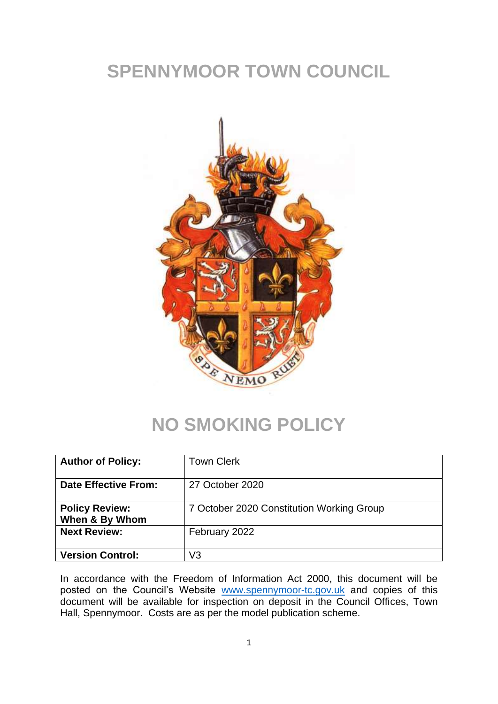# **SPENNYMOOR TOWN COUNCIL**



### **NO SMOKING POLICY**

| <b>Author of Policy:</b>                | <b>Town Clerk</b>                         |
|-----------------------------------------|-------------------------------------------|
| Date Effective From:                    | 27 October 2020                           |
| <b>Policy Review:</b><br>When & By Whom | 7 October 2020 Constitution Working Group |
| <b>Next Review:</b>                     | February 2022                             |
| <b>Version Control:</b>                 | V3                                        |

In accordance with the Freedom of Information Act 2000, this document will be posted on the Council's Website [www.spennymoor-tc.gov.uk](http://www.spennymoor-tc.gov.uk/) and copies of this document will be available for inspection on deposit in the Council Offices, Town Hall, Spennymoor. Costs are as per the model publication scheme.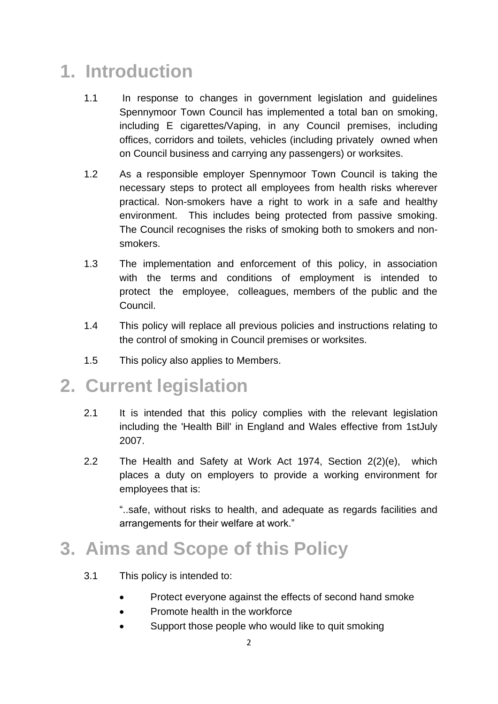## **1. Introduction**

- 1.1 In response to changes in government legislation and guidelines Spennymoor Town Council has implemented a total ban on smoking, including E cigarettes/Vaping, in any Council premises, including offices, corridors and toilets, vehicles (including privately owned when on Council business and carrying any passengers) or worksites.
- 1.2 As a responsible employer Spennymoor Town Council is taking the necessary steps to protect all employees from health risks wherever practical. Non-smokers have a right to work in a safe and healthy environment. This includes being protected from passive smoking. The Council recognises the risks of smoking both to smokers and nonsmokers.
- 1.3 The implementation and enforcement of this policy, in association with the terms and conditions of employment is intended to protect the employee, colleagues, members of the public and the Council.
- 1.4 This policy will replace all previous policies and instructions relating to the control of smoking in Council premises or worksites.
- 1.5 This policy also applies to Members.

#### **2. Current legislation**

- 2.1 It is intended that this policy complies with the relevant legislation including the 'Health Bill' in England and Wales effective from 1stJuly 2007.
- 2.2 The Health and Safety at Work Act 1974, Section 2(2)(e), which places a duty on employers to provide a working environment for employees that is:

"..safe, without risks to health, and adequate as regards facilities and arrangements for their welfare at work."

### **3. Aims and Scope of this Policy**

- 3.1 This policy is intended to:
	- Protect everyone against the effects of second hand smoke
	- Promote health in the workforce
	- Support those people who would like to quit smoking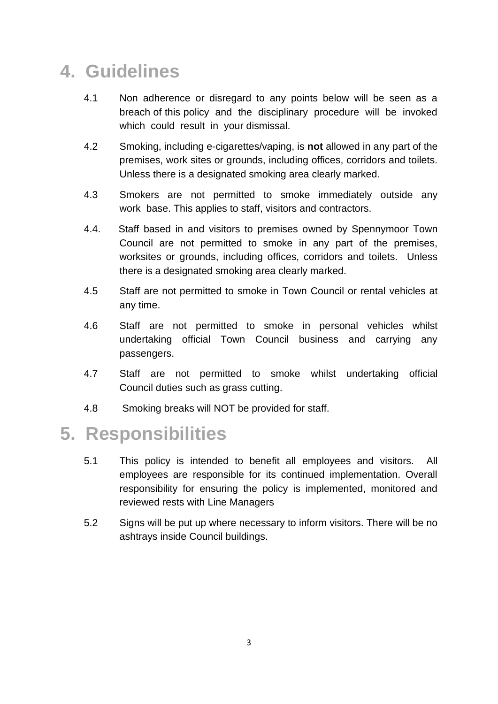## **4. Guidelines**

- 4.1 Non adherence or disregard to any points below will be seen as a breach of this policy and the disciplinary procedure will be invoked which could result in your dismissal.
- 4.2 Smoking, including e-cigarettes/vaping, is **not** allowed in any part of the premises, work sites or grounds, including offices, corridors and toilets. Unless there is a designated smoking area clearly marked.
- 4.3 Smokers are not permitted to smoke immediately outside any work base. This applies to staff, visitors and contractors.
- 4.4. Staff based in and visitors to premises owned by Spennymoor Town Council are not permitted to smoke in any part of the premises, worksites or grounds, including offices, corridors and toilets. Unless there is a designated smoking area clearly marked.
- 4.5 Staff are not permitted to smoke in Town Council or rental vehicles at any time.
- 4.6 Staff are not permitted to smoke in personal vehicles whilst undertaking official Town Council business and carrying any passengers.
- 4.7 Staff are not permitted to smoke whilst undertaking official Council duties such as grass cutting.
- 4.8 Smoking breaks will NOT be provided for staff.

### **5. Responsibilities**

- 5.1 This policy is intended to benefit all employees and visitors. All employees are responsible for its continued implementation. Overall responsibility for ensuring the policy is implemented, monitored and reviewed rests with Line Managers
- 5.2 Signs will be put up where necessary to inform visitors. There will be no ashtrays inside Council buildings.